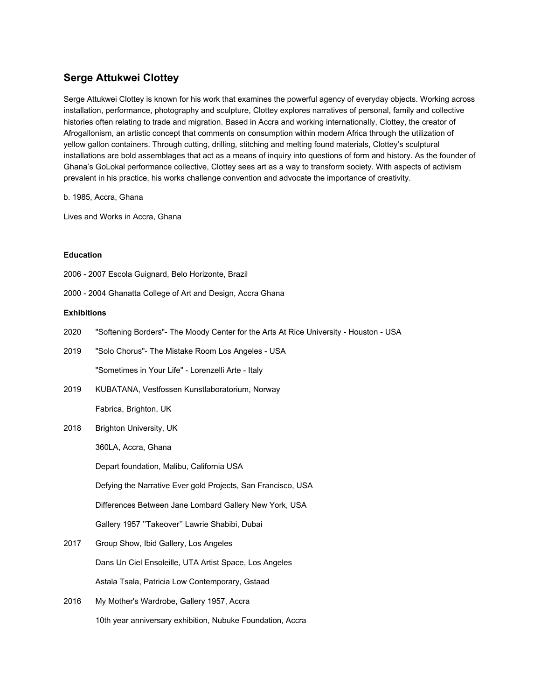## **Serge Attukwei Clottey**

Serge Attukwei Clottey is known for his work that examines the powerful agency of everyday objects. Working across installation, performance, photography and sculpture, Clottey explores narratives of personal, family and collective histories often relating to trade and migration. Based in Accra and working internationally, Clottey, the creator of Afrogallonism, an artistic concept that comments on consumption within modern Africa through the utilization of yellow gallon containers. Through cutting, drilling, stitching and melting found materials, Clottey's sculptural installations are bold assemblages that act as a means of inquiry into questions of form and history. As the founder of Ghana's GoLokal performance collective, Clottey sees art as a way to transform society. With aspects of activism prevalent in his practice, his works challenge convention and advocate the importance of creativity.

b. 1985, Accra, Ghana

Lives and Works in Accra, Ghana

## **Education**

2006 - 2007 Escola Guignard, Belo Horizonte, Brazil

2000 - 2004 Ghanatta College of Art and Design, Accra Ghana

## **Exhibitions**

| 2020 | "Softening Borders"- The Moody Center for the Arts At Rice University - Houston - USA |
|------|---------------------------------------------------------------------------------------|
| 2019 | "Solo Chorus"- The Mistake Room Los Angeles - USA                                     |
|      | "Sometimes in Your Life" - Lorenzelli Arte - Italy                                    |
| 2019 | KUBATANA, Vestfossen Kunstlaboratorium, Norway                                        |
|      | Fabrica, Brighton, UK                                                                 |
| 2018 | Brighton University, UK                                                               |
|      | 360LA, Accra, Ghana                                                                   |
|      | Depart foundation, Malibu, California USA                                             |
|      | Defying the Narrative Ever gold Projects, San Francisco, USA                          |
|      | Differences Between Jane Lombard Gallery New York, USA                                |
|      | Gallery 1957 "Takeover" Lawrie Shabibi, Dubai                                         |
| 2017 | Group Show, Ibid Gallery, Los Angeles                                                 |
|      | Dans Un Ciel Ensoleille, UTA Artist Space, Los Angeles                                |
|      | Astala Tsala, Patricia Low Contemporary, Gstaad                                       |

2016 My Mother's Wardrobe, Gallery 1957, Accra 10th year anniversary exhibition, Nubuke Foundation, Accra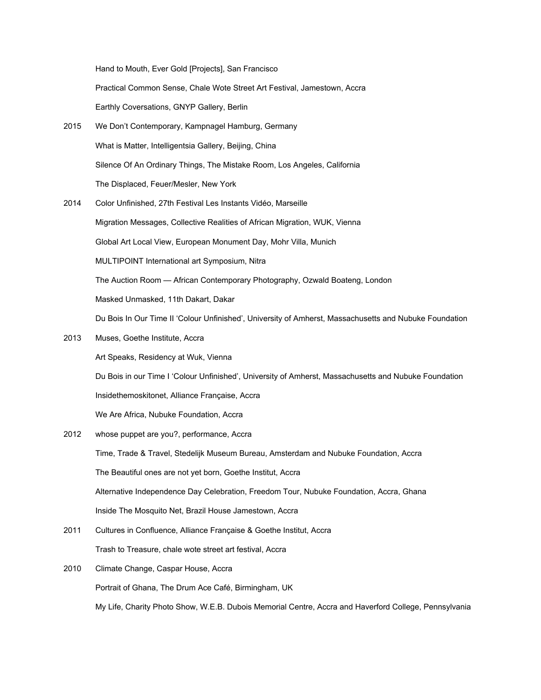Hand to Mouth, Ever Gold [Projects], San Francisco

Practical Common Sense, Chale Wote Street Art Festival, Jamestown, Accra

Earthly Coversations, GNYP Gallery, Berlin

- 2015 We Don't Contemporary, Kampnagel Hamburg, Germany What is Matter, Intelligentsia Gallery, Beijing, China Silence Of An Ordinary Things, The Mistake Room, Los Angeles, California The Displaced, Feuer/Mesler, New York
- 2014 Color Unfinished, 27th Festival Les Instants Vidéo, Marseille Migration Messages, Collective Realities of African Migration, WUK, Vienna Global Art Local View, European Monument Day, Mohr Villa, Munich MULTIPOINT International art Symposium, Nitra The Auction Room — African Contemporary Photography, Ozwald Boateng, London Masked Unmasked, 11th Dakart, Dakar Du Bois In Our Time II 'Colour Unfinished', University of Amherst, Massachusetts and Nubuke Foundation
- 2013 Muses, Goethe Institute, Accra

Art Speaks, Residency at Wuk, Vienna

Du Bois in our Time I 'Colour Unfinished', University of Amherst, Massachusetts and Nubuke Foundation

Insidethemoskitonet, Alliance Française, Accra

We Are Africa, Nubuke Foundation, Accra

- 2012 whose puppet are you?, performance, Accra Time, Trade & Travel, Stedelijk Museum Bureau, Amsterdam and Nubuke Foundation, Accra The Beautiful ones are not yet born, Goethe Institut, Accra Alternative Independence Day Celebration, Freedom Tour, Nubuke Foundation, Accra, Ghana Inside The Mosquito Net, Brazil House Jamestown, Accra
- 2011 Cultures in Confluence, Alliance Française & Goethe Institut, Accra Trash to Treasure, chale wote street art festival, Accra
- 2010 Climate Change, Caspar House, Accra Portrait of Ghana, The Drum Ace Café, Birmingham, UK My Life, Charity Photo Show, W.E.B. Dubois Memorial Centre, Accra and Haverford College, Pennsylvania